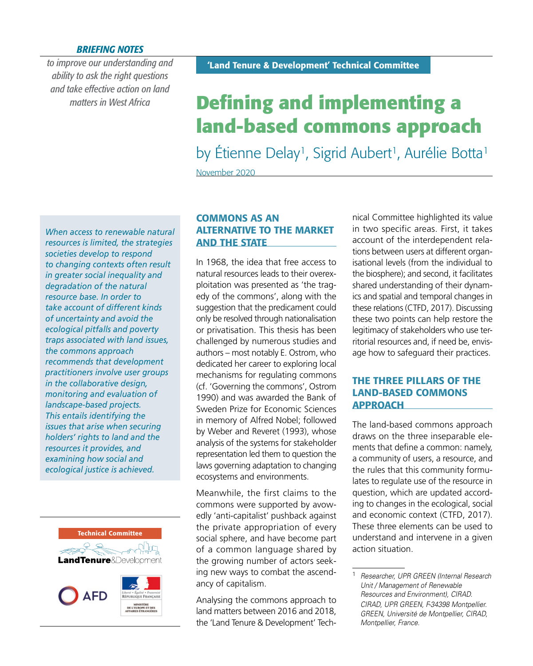#### *BRIEFING NOTES*

*to improve our understanding and ability to ask the right questions and take effective action on land matters in West Africa*

# **Defining and implementing a land-based commons approach**

by Étienne Delay<sup>1</sup>, Sigrid Aubert<sup>1</sup>, Aurélie Botta<sup>1</sup>

November 2020

*When access to renewable natural resources is limited, the strategies societies develop to respond to changing contexts often result in greater social inequality and degradation of the natural resource base. In order to take account of different kinds of uncertainty and avoid the ecological pitfalls and poverty traps associated with land issues, the commons approach recommends that development practitioners involve user groups in the collaborative design, monitoring and evaluation of landscape-based projects. This entails identifying the issues that arise when securing holders' rights to land and the resources it provides, and examining how social and ecological justice is achieved.*



# COMMONS AS AN ALTERNATIVE TO THE MARKET AND THE STATE

In 1968, the idea that free access to natural resources leads to their overexploitation was presented as 'the tragedy of the commons', along with the suggestion that the predicament could only be resolved through nationalisation or privatisation. This thesis has been challenged by numerous studies and authors – most notably E. Ostrom, who dedicated her career to exploring local mechanisms for regulating commons (cf. 'Governing the commons', Ostrom 1990) and was awarded the Bank of Sweden Prize for Economic Sciences in memory of Alfred Nobel; followed by Weber and Reveret (1993), whose analysis of the systems for stakeholder representation led them to question the laws governing adaptation to changing ecosystems and environments.

Meanwhile, the first claims to the commons were supported by avowedly 'anti-capitalist' pushback against the private appropriation of every social sphere, and have become part of a common language shared by the growing number of actors seeking new ways to combat the ascendancy of capitalism.

Analysing the commons approach to land matters between 2016 and 2018, the 'Land Tenure & Development' Technical Committee highlighted its value in two specific areas. First, it takes account of the interdependent relations between users at different organisational levels (from the individual to the biosphere); and second, it facilitates shared understanding of their dynamics and spatial and temporal changes in these relations (CTFD, 2017). Discussing these two points can help restore the legitimacy of stakeholders who use territorial resources and, if need be, envisage how to safeguard their practices.

# THE THREE PILLARS OF THE LAND-BASED COMMONS APPROACH

The land-based commons approach draws on the three inseparable elements that define a common: namely, a community of users, a resource, and the rules that this community formulates to regulate use of the resource in question, which are updated according to changes in the ecological, social and economic context (CTFD, 2017). These three elements can be used to understand and intervene in a given action situation.

<sup>1</sup> *Researcher, UPR GREEN (Internal Research Unit / Management of Renewable Resources and Environment), CIRAD. CIRAD, UPR GREEN, F-34398 Montpellier. GREEN, Université de Montpellier, CIRAD, Montpellier, France.*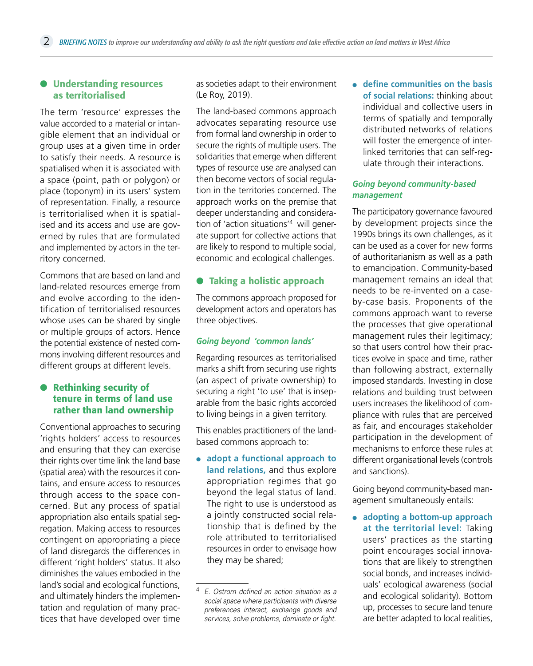#### $\bullet$  Understanding resources as territorialised

The term 'resource' expresses the value accorded to a material or intangible element that an individual or group uses at a given time in order to satisfy their needs. A resource is spatialised when it is associated with a space (point, path or polygon) or place (toponym) in its users' system of representation. Finally, a resource is territorialised when it is spatialised and its access and use are governed by rules that are formulated and implemented by actors in the territory concerned.

Commons that are based on land and land-related resources emerge from and evolve according to the identification of territorialised resources whose uses can be shared by single or multiple groups of actors. Hence the potential existence of nested commons involving different resources and different groups at different levels.

#### **•** Rethinking security of tenure in terms of land use rather than land ownership

Conventional approaches to securing 'rights holders' access to resources and ensuring that they can exercise their rights over time link the land base (spatial area) with the resources it contains, and ensure access to resources through access to the space concerned. But any process of spatial appropriation also entails spatial segregation. Making access to resources contingent on appropriating a piece of land disregards the differences in different 'right holders' status. It also diminishes the values embodied in the land's social and ecological functions, and ultimately hinders the implementation and regulation of many practices that have developed over time

as societies adapt to their environment (Le Roy, 2019).

The land-based commons approach advocates separating resource use from formal land ownership in order to secure the rights of multiple users. The solidarities that emerge when different types of resource use are analysed can then become vectors of social regulation in the territories concerned. The approach works on the premise that deeper understanding and consideration of 'action situations'4 will generate support for collective actions that are likely to respond to multiple social, economic and ecological challenges.

## **• Taking a holistic approach**

The commons approach proposed for development actors and operators has three objectives.

#### *Going beyond 'common lands'*

Regarding resources as territorialised marks a shift from securing use rights (an aspect of private ownership) to securing a right 'to use' that is inseparable from the basic rights accorded to living beings in a given territory.

This enables practitioners of the landbased commons approach to:

● **adopt a functional approach to land relations,** and thus explore appropriation regimes that go beyond the legal status of land. The right to use is understood as a jointly constructed social relationship that is defined by the role attributed to territorialised resources in order to envisage how they may be shared;

● **define communities on the basis of social relations:** thinking about individual and collective users in terms of spatially and temporally distributed networks of relations will foster the emergence of interlinked territories that can self-regulate through their interactions.

#### *Going beyond community-based management*

The participatory governance favoured by development projects since the 1990s brings its own challenges, as it can be used as a cover for new forms of authoritarianism as well as a path to emancipation. Community-based management remains an ideal that needs to be re-invented on a caseby-case basis. Proponents of the commons approach want to reverse the processes that give operational management rules their legitimacy; so that users control how their practices evolve in space and time, rather than following abstract, externally imposed standards. Investing in close relations and building trust between users increases the likelihood of compliance with rules that are perceived as fair, and encourages stakeholder participation in the development of mechanisms to enforce these rules at different organisational levels (controls and sanctions).

Going beyond community-based management simultaneously entails:

● **adopting a bottom-up approach at the territorial level:** Taking users' practices as the starting point encourages social innovations that are likely to strengthen social bonds, and increases individuals' ecological awareness (social and ecological solidarity). Bottom up, processes to secure land tenure are better adapted to local realities,

<sup>4</sup> *E. Ostrom defined an action situation as a social space where participants with diverse preferences interact, exchange goods and services, solve problems, dominate or fight.*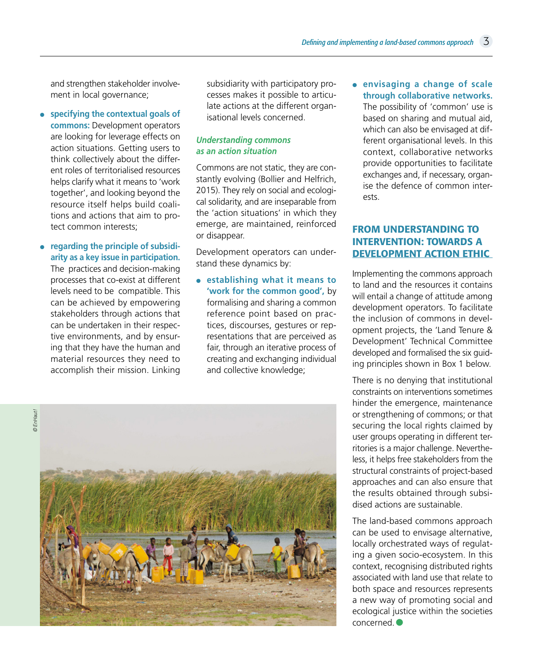and strengthen stakeholder involvement in local governance;

- **specifying the contextual goals of commons:** Development operators are looking for leverage effects on action situations. Getting users to think collectively about the different roles of territorialised resources helps clarify what it means to 'work together', and looking beyond the resource itself helps build coalitions and actions that aim to protect common interests;
- **regarding the principle of subsidiarity as a key issue in participation.** The practices and decision-making processes that co-exist at different levels need to be compatible. This can be achieved by empowering stakeholders through actions that can be undertaken in their respective environments, and by ensuring that they have the human and material resources they need to accomplish their mission. Linking

subsidiarity with participatory processes makes it possible to articulate actions at the different organisational levels concerned.

#### *Understanding commons as an action situation*

Commons are not static, they are constantly evolving (Bollier and Helfrich, 2015). They rely on social and ecological solidarity, and are inseparable from the 'action situations' in which they emerge, are maintained, reinforced or disappear.

Development operators can understand these dynamics by:

● **establishing what it means to 'work for the common good',** by formalising and sharing a common reference point based on practices, discourses, gestures or representations that are perceived as fair, through an iterative process of creating and exchanging individual and collective knowledge;

● **envisaging a change of scale through collaborative networks.** The possibility of 'common' use is based on sharing and mutual aid, which can also be envisaged at different organisational levels. In this context, collaborative networks provide opportunities to facilitate exchanges and, if necessary, organise the defence of common interests.

# FROM UNDERSTANDING TO INTERVENTION: TOWARDS A DEVELOPMENT ACTION ETHIC

Implementing the commons approach to land and the resources it contains will entail a change of attitude among development operators. To facilitate the inclusion of commons in development projects, the 'Land Tenure & Development' Technical Committee developed and formalised the six guiding principles shown in Box 1 below.

There is no denying that institutional constraints on interventions sometimes hinder the emergence, maintenance or strengthening of commons; or that securing the local rights claimed by user groups operating in different territories is a major challenge. Nevertheless, it helps free stakeholders from the structural constraints of project-based approaches and can also ensure that the results obtained through subsidised actions are sustainable.

The land-based commons approach can be used to envisage alternative, locally orchestrated ways of regulating a given socio-ecosystem. In this context, recognising distributed rights associated with land use that relate to both space and resources represents a new way of promoting social and ecological justice within the societies concerned.●